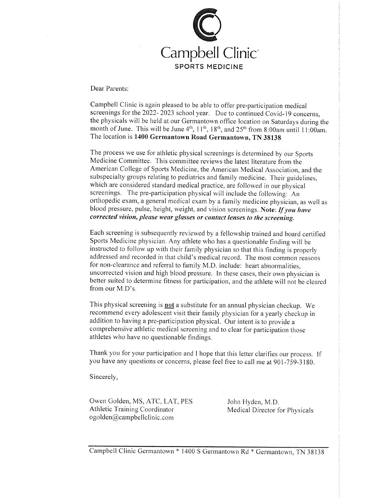

Dear Parents:

Campbell Clinic is again pleased to be able to offer pre-participation medical screenings for the 2022-2023 school year. Due to continued Covid-19 concerns, the physicals will be held at our Germantown office location on Saturdays during the month of June. This will be June 4<sup>th</sup>, 11<sup>th</sup>, 18<sup>th</sup>, and 25<sup>th</sup> from 8:00am until 11:00am. The location is 1400 Germantown Road Germantown, TN 38138

The process we use for athletic physical screenings is determined by our Sports Medicine Committee. This committee reviews the latest literature from the American College of Sports Medicine, the American Medical Association, and the subspecialty groups relating to pediatrics and family medicine. Their guidelines, which are considered standard medical practice, are followed in our physical screenings. The pre-participation physical will include the following: An orthopedic exam, a general medical exam by a family medicine physician, as well as blood pressure, pulse, height, weight, and vision screenings. Note: If you have corrected vision, please wear glasses or contact lenses to the screening.

Each screening is subsequently reviewed by a fellowship trained and board certified Sports Medicine physician. Any athlete who has a questionable finding will be instructed to follow up with their family physician so that this finding is properly addressed and recorded in that child's medical record. The most common reasons for non-clearance and referral to family M.D. include: heart abnormalities, uncorrected vision and high blood pressure. In these cases, their own physician is better suited to determine fitness for participation, and the athlete will not be cleared from our M.D's.

This physical screening is **not** a substitute for an annual physician checkup. We recommend every adolescent visit their family physician for a yearly checkup in addition to having a pre-participation physical. Our intent is to provide a comprehensive athletic medical screening and to clear for participation those athletes who have no questionable findings.

Thank you for your participation and I hope that this letter clarifies our process. If you have any questions or concerns, please feel free to call me at 901-759-3180.

Sincerely,

Owen Golden, MS, ATC, LAT, PES Athletic Training Coordinator ogolden@campbellclinic.com

John Hyden, M.D. Medical Director for Physicals

Campbell Clinic Germantown \* 1400 S Germantown Rd \* Germantown, TN 38138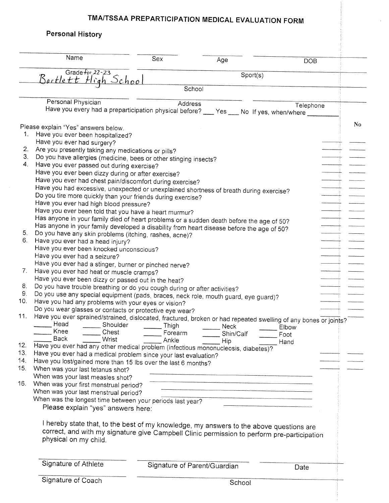# TMA/TSSAA PREPARTICIPATION MEDICAL EVALUATION FORM

| <b>Personal History</b>                                                                                                                                   |         |                              |            |
|-----------------------------------------------------------------------------------------------------------------------------------------------------------|---------|------------------------------|------------|
| Name                                                                                                                                                      | Sex     | Age                          | <b>DOB</b> |
| Grade for $22 - 23$                                                                                                                                       |         |                              |            |
| Bartlett High School                                                                                                                                      |         | Sports)                      |            |
|                                                                                                                                                           |         | School                       |            |
|                                                                                                                                                           |         |                              |            |
| Personal Physician                                                                                                                                        |         | Address                      | Telephone  |
| Have you every had a preparticipation physical before? __ Yes __ No If yes, when/where ____                                                               |         |                              |            |
|                                                                                                                                                           |         |                              |            |
| Please explain "Yes" answers below.                                                                                                                       |         |                              |            |
| 1.<br>Have you ever been hospitalized?                                                                                                                    |         |                              |            |
| Have you ever had surgery?                                                                                                                                |         |                              |            |
| 2.<br>Are you presently taking any medications or pills?                                                                                                  |         |                              |            |
| З.<br>Do you have allergies (medicine, bees or other stinging insects?<br>4.                                                                              |         |                              |            |
| Have you ever passed out during exercise?                                                                                                                 |         |                              |            |
| Have you ever been dizzy during or after exercise?                                                                                                        |         |                              |            |
| Have you ever had chest pain/discomfort during exercise?                                                                                                  |         |                              |            |
| Have you had excessive, unexpected or unexplained shortness of breath during exercise?                                                                    |         |                              |            |
| Do you tire more quickly than your friends during exercise?                                                                                               |         |                              |            |
| Have you ever had high blood pressure?                                                                                                                    |         |                              |            |
| Have you ever been told that you have a heart murmur?                                                                                                     |         |                              |            |
| Has anyone in your family died of heart problems or a sudden death before the age of 50?                                                                  |         |                              |            |
| Has anyone in your family developed a disability from heart disease before the age of 50?<br>5.<br>Do you have any skin problems (itching, rashes, acne)? |         |                              |            |
| 6.<br>Have you ever had a head injury?                                                                                                                    |         |                              |            |
| Have you ever been knocked unconscious?                                                                                                                   |         |                              |            |
| Have you ever had a seizure?                                                                                                                              |         |                              |            |
| Have you ever had a stinger, burner or pinched nerve?                                                                                                     |         |                              |            |
| 7.<br>Have you ever had heat or muscle cramps?                                                                                                            |         |                              |            |
| Have you ever been dizzy or passed out in the heat?                                                                                                       |         |                              |            |
| 8.<br>Do you have trouble breathing or do you cough during or after activities?                                                                           |         |                              |            |
| 9.<br>Do you use any special equipment (pads, braces, neck role, mouth guard, eye guard)?                                                                 |         |                              |            |
| 10.<br>Have you had any problems with your eyes or vision?                                                                                                |         |                              |            |
| Do you wear glasses or contacts or protective eye wear?                                                                                                   |         |                              |            |
| 11.<br>Have you ever sprained/strained, dislocated, fractured, broken or had repeated swelling of any bones or joints?                                    |         |                              |            |
| Head<br>Shoulder                                                                                                                                          | Thigh   | <b>Neck</b>                  | Elbow      |
| Knee<br>Chest                                                                                                                                             | Forearm | Shin/Calf                    | Foot       |
| <b>Back</b><br><b>Wrist</b>                                                                                                                               | Ankle   | Hip                          | Hand       |
| 12.<br>Have you ever had any other medical problem (infectious mononucleosis, diabetes)?                                                                  |         |                              |            |
| 13.<br>Have you ever had a medical problem since your last evaluation?                                                                                    |         |                              |            |
| 14.<br>Have you lost/gained more than 15 lbs over the last 6 months?                                                                                      |         |                              |            |
| 15.<br>When was your last tetanus shot?                                                                                                                   |         |                              |            |
| When was your last measles shot?                                                                                                                          |         |                              |            |
| 16.<br>When was your first menstrual period?                                                                                                              |         |                              |            |
| When was your last menstrual period?                                                                                                                      |         |                              |            |
| When was the longest time between your periods last year?                                                                                                 |         |                              |            |
| Please explain "yes" answers here:                                                                                                                        |         |                              |            |
|                                                                                                                                                           |         |                              |            |
| I hereby state that, to the best of my knowledge, my answers to the above questions are                                                                   |         |                              |            |
| correct, and with my signature give Campbell Clinic permission to perform pre-participation                                                               |         |                              |            |
| physical on my child.                                                                                                                                     |         |                              |            |
|                                                                                                                                                           |         |                              |            |
| Signature of Athlete                                                                                                                                      |         |                              |            |
|                                                                                                                                                           |         | Signature of Parent/Guardian | Date       |
| Signature of Coach                                                                                                                                        |         |                              |            |
|                                                                                                                                                           |         | School                       |            |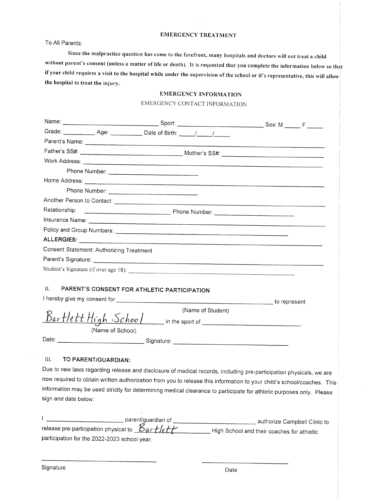#### **EMERGENCY TREATMENT**

To All Parents:

Since the malpractice question has come to the forefront, many hospitals and doctors will not treat a child without parent's consent (unless a matter of life or death). It is requested that you complete the information below so that if your child requires a visit to the hospital while under the supervision of the school or it's representative, this will allow the hospital to treat the injury.

### **EMERGENCY INFORMATION**

#### EMERGENCY CONTACT INFORMATION

| Relationship:        |                                          |                                             |                                                                                                                        |  |
|----------------------|------------------------------------------|---------------------------------------------|------------------------------------------------------------------------------------------------------------------------|--|
|                      |                                          |                                             |                                                                                                                        |  |
|                      |                                          |                                             |                                                                                                                        |  |
|                      |                                          |                                             |                                                                                                                        |  |
|                      | Consent Statement: Authorizing Treatment |                                             |                                                                                                                        |  |
|                      |                                          |                                             |                                                                                                                        |  |
|                      |                                          |                                             |                                                                                                                        |  |
|                      |                                          |                                             |                                                                                                                        |  |
| $\Pi$ .              |                                          | PARENT'S CONSENT FOR ATHLETIC PARTICIPATION |                                                                                                                        |  |
|                      |                                          |                                             |                                                                                                                        |  |
|                      |                                          |                                             | (Name of Student)                                                                                                      |  |
|                      |                                          |                                             | $BarHett High School$ in the sport of                                                                                  |  |
|                      | (Name of School)                         |                                             |                                                                                                                        |  |
|                      |                                          |                                             |                                                                                                                        |  |
|                      |                                          |                                             |                                                                                                                        |  |
| $\mathbf{III}$ .     | TO PARENT/GUARDIAN:                      |                                             |                                                                                                                        |  |
|                      |                                          |                                             | Due to new laws regarding release and disclosure of medical records, including pre-participation physicals, we are     |  |
|                      |                                          |                                             | now required to obtain written authorization from you to release this information to your child's school/coaches. This |  |
|                      |                                          |                                             | information may be used strictly for determining medical clearance to participate for athletic purposes only. Please   |  |
| sign and date below: |                                          |                                             |                                                                                                                        |  |
|                      |                                          |                                             |                                                                                                                        |  |
|                      |                                          | nonorthalgebra A                            |                                                                                                                        |  |

| parentiquargian or                                                              | authorize Campbell Clinic to                 |
|---------------------------------------------------------------------------------|----------------------------------------------|
| release pre-participation physical to $\mathcal{L}_{\alpha}$ r $f$ /e $f$ / $f$ | _ High School and their coaches for athletic |
| participation for the 2022-2023 school year.                                    |                                              |

Signature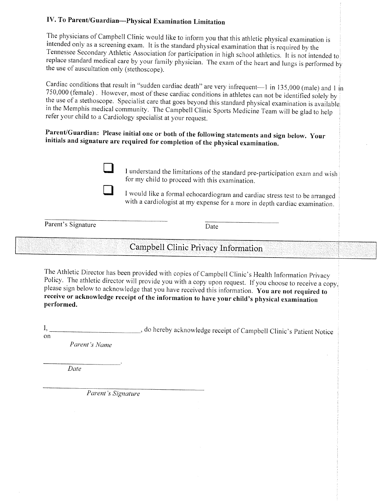## IV. To Parent/Guardian-Physical Examination Limitation

The physicians of Campbell Clinic would like to inform you that this athletic physical examination is intended only as a screening exam. It is the standard physical examination that is required by the Tennessee Secondary Athletic Association for participation in high school athletics. It is not intended to replace standard medical care by your family physician. The exam of the heart and lungs is performed by the use of auscultation only (stethoscope).

Cardiac conditions that result in "sudden cardiac death" are very infrequent-1 in 135,000 (male) and 1 in 750,000 (female). However, most of these cardiac conditions in athletes can not be identified solely by the use of a stethoscope. Specialist care that goes beyond this standard physical examination is available in the Memphis medical community. The Campbell Clinic Sports Medicine Team will be glad to help refer your child to a Cardiology specialist at your request.

## Parent/Guardian: Please initial one or both of the following statements and sign below. Your initials and signature are required for completion of the physical examination.



I understand the limitations of the standard pre-participation exam and wish for my child to proceed with this examination.

I would like a formal echocardiogram and cardiac stress test to be arranged with a cardiologist at my expense for a more in depth cardiac examination.

Parent's Signature

Date

# Campbell Clinic Privacy Information

The Athletic Director has been provided with copies of Campbell Clinic's Health Information Privacy Policy. The athletic director will provide you with a copy upon request. If you choose to receive a copy, please sign below to acknowledge that you have received this information. You are not required to receive or acknowledge receipt of the information to have your child's physical examination performed.

\_, do hereby acknowledge receipt of Campbell Clinic's Patient Notice I, on

Parent's Name

Date

Parent's Signature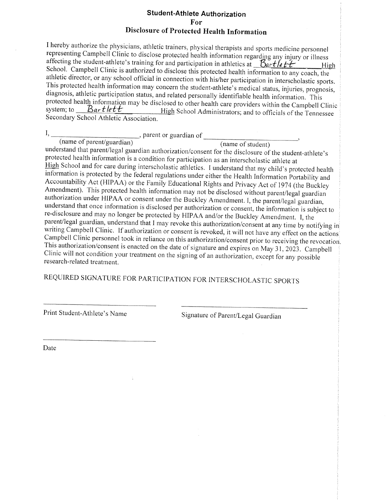### **Student-Athlete Authorization** For **Disclosure of Protected Health Information**

I hereby authorize the physicians, athletic trainers, physical therapists and sports medicine personnel representing Campbell Clinic to disclose protected health information regarding any injury or illness affecting the student-athlete's training for and participation in athletics at  $\frac{Bartlett}{}$ High School. Campbell Clinic is authorized to disclose this protected health information to any coach, the athletic director, or any school official in connection with his/her participation in interscholastic sports. This protected health information may concern the student-athlete's medical status, injuries, prognosis, diagnosis, athletic participation status, and related personally identifiable health information. This protected health information may be disclosed to other health care providers within the Campbell Clinic system; to  $B$ artlett High School Administrators; and to officials of the Tennessee Secondary School Athletic Association.

 $\frac{1}{2}$ , parent or guardian of  $\frac{1}{2}$  (name of student)  $I_{\rm{h}}$ 

understand that parent/legal guardian authorization/consent for the disclosure of the student-athlete's protected health information is a condition for participation as an interscholastic athlete at High School and for care during interscholastic athletics. I understand that my child's protected health information is protected by the federal regulations under either the Health Information Portability and Accountability Act (HIPAA) or the Family Educational Rights and Privacy Act of 1974 (the Buckley Amendment). This protected health information may not be disclosed without parent/legal guardian authorization under HIPAA or consent under the Buckley Amendment. I, the parent/legal guardian, understand that once information is disclosed per authorization or consent, the information is subject to re-disclosure and may no longer be protected by HIPAA and/or the Buckley Amendment. I, the parent/legal guardian, understand that I may revoke this authorization/consent at any time by notifying in writing Campbell Clinic. If authorization or consent is revoked, it will not have any effect on the actions Campbell Clinic personnel took in reliance on this authorization/consent prior to receiving the revocation. This authorization/consent is enacted on the date of signature and expires on May 31, 2023. Campbell Clinic will not condition your treatment on the signing of an authorization, except for any possible research-related treatment.

# REQUIRED SIGNATURE FOR PARTICIPATION FOR INTERSCHOLASTIC SPORTS

Print Student-Athlete's Name

Signature of Parent/Legal Guardian

Date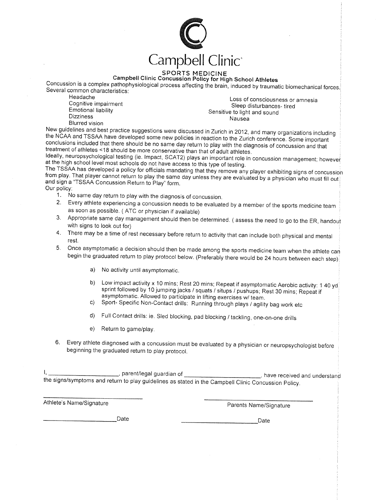

### **SPORTS MEDICINE**

Campbell Clinic Concussion Policy for High School Athletes

Concussion is a complex pathophysiological process affecting the brain, induced by traumatic biomechanical forces. Several common characteristics:

Headache Cognitive impairment Emotional liability **Dizziness** 

Loss of consciousness or amnesia Sleep disturbances-tired Sensitive to light and sound Nausea

**Blurred** vision

New guidelines and best practice suggestions were discussed in Zurich in 2012, and many organizations including the NCAA and TSSAA have developed some new policies in reaction to the Zurich conference. Some important conclusions included that there should be no same day return to play with the diagnosis of concussion and that treatment of athletes <18 should be more conservative than that of adult athletes.

Ideally, neuropsychological testing (ie. Impact, SCAT2) plays an important role in concussion management; however at the high school level most schools do not have access to this type of testing.

The TSSAA has developed a policy for officials mandating that they remove any player exhibiting signs of concussion from play. That player cannot return to play the same day unless they are evaluated by a physician who must fill out and sign a "TSSAA Concussion Return to Play" form. Our policy:

- 1. No same day return to play with the diagnosis of concussion.
- 2. Every athlete experiencing a concussion needs to be evaluated by a member of the sports medicine team as soon as possible. (ATC or physician if available)
- 3. Appropriate same day management should then be determined. (assess the need to go to the ER, handout with signs to look out for)
- 4. There may be a time of rest necessary before return to activity that can include both physical and mental rest
- 5. Once asymptomatic a decision should then be made among the sports medicine team when the athlete can begin the graduated return to play protocol below. (Preferably there would be 24 hours between each step)
	- a) No activity until asymptomatic.
	- b) Low impact activity x 10 mins; Rest 20 mins; Repeat if asymptomatic Aerobic activity: 1 40 yd sprint followed by 10 jumping jacks / squats / situps / pushups; Rest 30 mins; Repeat if asymptomatic. Allowed to participate in lifting exercises w/ team.
	- c) Sport- Specific Non-Contact drills: Running through plays / agility bag work etc
	- d) Full Contact drills: ie. Sled blocking, pad blocking / tackling, one-on-one drills
	- e) Return to game/play.
- 6. Every athlete diagnosed with a concussion must be evaluated by a physician or neuropsychologist before beginning the graduated return to play protocol.

\_\_\_, parent/legal guardian of \_\_ have received and understand the signs/symptoms and return to play guidelines as stated in the Campbell Clinic Concussion Policy.

Athlete's Name/Signature

Parents Name/Signature

Date

Date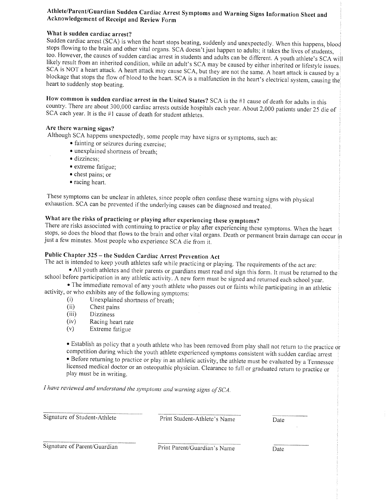### Athlete/Parent/Guardian Sudden Cardiac Arrest Symptoms and Warning Signs Information Sheet and Acknowledgement of Receipt and Review Form

### What is sudden cardiac arrest?

Sudden cardiac arrest (SCA) is when the heart stops beating, suddenly and unexpectedly. When this happens, blood stops flowing to the brain and other vital organs. SCA doesn't just happen to adults; it takes the lives of students, too. However, the causes of sudden cardiac arrest in students and adults can be different. A youth athlete's SCA will likely result from an inherited condition, while an adult's SCA may be caused by either inherited or lifestyle issues. SCA is NOT a heart attack. A heart attack may cause SCA, but they are not the same. A heart attack is caused by a blockage that stops the flow of blood to the heart. SCA is a malfunction in the heart's electrical system, causing the heart to suddenly stop beating.

How common is sudden cardiac arrest in the United States? SCA is the #1 cause of death for adults in this country. There are about 300,000 cardiac arrests outside hospitals each year. About 2,000 patients under 25 die of SCA each year. It is the #1 cause of death for student athletes.

#### Are there warning signs?

Although SCA happens unexpectedly, some people may have signs or symptoms, such as:

- · fainting or seizures during exercise;
- · unexplained shortness of breath;
- · dizziness:
- extreme fatigue;
- chest pains; or
- racing heart.

These symptoms can be unclear in athletes, since people often confuse these warning signs with physical exhaustion. SCA can be prevented if the underlying causes can be diagnosed and treated.

## What are the risks of practicing or playing after experiencing these symptoms?

There are risks associated with continuing to practice or play after experiencing these symptoms. When the heart stops, so does the blood that flows to the brain and other vital organs. Death or permanent brain damage can occur in just a few minutes. Most people who experience SCA die from it.

## Public Chapter 325 - the Sudden Cardiac Arrest Prevention Act

The act is intended to keep youth athletes safe while practicing or playing. The requirements of the act are:

• All youth athletes and their parents or guardians must read and sign this form. It must be returned to the school before participation in any athletic activity. A new form must be signed and returned each school year.

• The immediate removal of any youth athlete who passes out or faints while participating in an athletic activity, or who exhibits any of the following symptoms:

- $(i)$ Unexplained shortness of breath;
- $(ii)$ Chest pains
- $(iii)$ **Dizziness**
- $(iv)$ Racing heart rate
- $(v)$ Extreme fatigue

• Establish as policy that a youth athlete who has been removed from play shall not return to the practice or competition during which the youth athlete experienced symptoms consistent with sudden cardiac arrest • Before returning to practice or play in an athletic activity, the athlete must be evaluated by a Tennessee licensed medical doctor or an osteopathic physician. Clearance to full or graduated return to practice or play must be in writing.

I have reviewed and understand the symptoms and warning signs of SCA.

Signature of Student-Athlete

Print Student-Athlete's Name

Date

Signature of Parent/Guardian

Print Parent/Guardian's Name

Date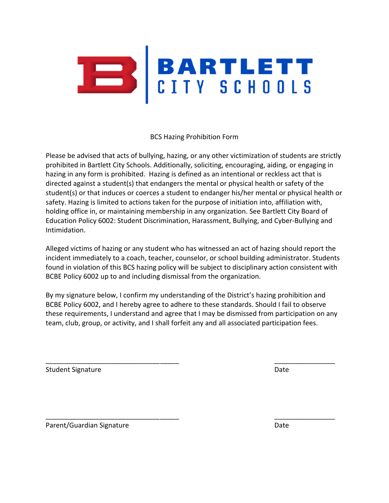

BCS Hazing Prohibition Form

Please be advised that acts of bullying, hazing, or any other victimization of students are strictly prohibited in Bartlett City Schools. Additionally, soliciting, encouraging, aiding, or engaging in hazing in any form is prohibited. Hazing is defined as an intentional or reckless act that is directed against a student(s) that endangers the mental or physical health or safety of the student(s) or that induces or coerces a student to endanger his/her mental or physical health or safety. Hazing is limited to actions taken for the purpose of initiation into, affiliation with, holding office in, or maintaining membership in any organization. See Bartlett City Board of Education Policy 6002: Student Discrimination, Harassment, Bullying, and Cyber-Bullying and Intimidation.

Alleged victims of hazing or any student who has witnessed an act of hazing should report the incident immediately to a coach, teacher, counselor, or school building administrator. Students found in violation of this BCS hazing policy will be subject to disciplinary action consistent with BCBE Policy 6002 up to and including dismissal from the organization.

By my signature below, I confirm my understanding of the District's hazing prohibition and BCBE Policy 6002, and I hereby agree to adhere to these standards. Should I fail to observe these requirements, I understand and agree that I may be dismissed from participation on any team, club, group, or activity, and I shall forfeit any and all associated participation fees.

\_\_\_\_\_\_\_\_\_\_\_\_\_\_\_\_\_\_\_\_\_\_\_\_\_\_\_\_\_\_\_\_\_\_\_ \_\_\_\_\_\_\_\_\_\_\_\_\_\_\_\_

\_\_\_\_\_\_\_\_\_\_\_\_\_\_\_\_\_\_\_\_\_\_\_\_\_\_\_\_\_\_\_\_\_\_\_ \_\_\_\_\_\_\_\_\_\_\_\_\_\_\_\_

Student Signature Date Date of the Student Signature Date Date Date Date Date

Parent/Guardian Signature **Date of Australian Signature** Date of Australian Date of Australian Date